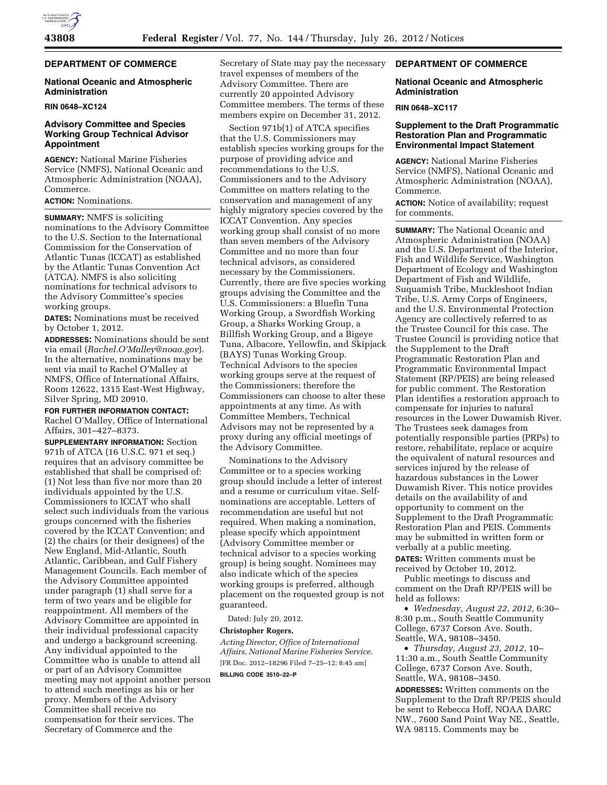

# **DEPARTMENT OF COMMERCE**

## **National Oceanic and Atmospheric Administration**

#### **RIN 0648–XC124**

## **Advisory Committee and Species Working Group Technical Advisor Appointment**

**AGENCY:** National Marine Fisheries Service (NMFS), National Oceanic and Atmospheric Administration (NOAA), Commerce.

#### **ACTION:** Nominations.

**SUMMARY:** NMFS is soliciting nominations to the Advisory Committee to the U.S. Section to the International Commission for the Conservation of Atlantic Tunas (ICCAT) as established by the Atlantic Tunas Convention Act (ATCA). NMFS is also soliciting nominations for technical advisors to the Advisory Committee's species working groups.

**DATES:** Nominations must be received by October 1, 2012.

**ADDRESSES:** Nominations should be sent via email (*[Rachel.O'Malley@noaa.gov](mailto:Rachel.O�Malley@noaa.gov)*). In the alternative, nominations may be sent via mail to Rachel O'Malley at NMFS, Office of International Affairs, Room 12622, 1315 East-West Highway, Silver Spring, MD 20910.

#### **FOR FURTHER INFORMATION CONTACT:**

Rachel O'Malley, Office of International Affairs, 301–427–8373.

**SUPPLEMENTARY INFORMATION:** Section 971b of ATCA (16 U.S.C. 971 et seq.) requires that an advisory committee be established that shall be comprised of: (1) Not less than five nor more than 20 individuals appointed by the U.S. Commissioners to ICCAT who shall select such individuals from the various groups concerned with the fisheries covered by the ICCAT Convention; and (2) the chairs (or their designees) of the New England, Mid-Atlantic, South Atlantic, Caribbean, and Gulf Fishery Management Councils. Each member of the Advisory Committee appointed under paragraph (1) shall serve for a term of two years and be eligible for reappointment. All members of the Advisory Committee are appointed in their individual professional capacity and undergo a background screening. Any individual appointed to the Committee who is unable to attend all or part of an Advisory Committee meeting may not appoint another person to attend such meetings as his or her proxy. Members of the Advisory Committee shall receive no compensation for their services. The Secretary of Commerce and the

Secretary of State may pay the necessary travel expenses of members of the Advisory Committee. There are currently 20 appointed Advisory Committee members. The terms of these members expire on December 31, 2012.

Section 971b(1) of ATCA specifies that the U.S. Commissioners may establish species working groups for the purpose of providing advice and recommendations to the U.S. Commissioners and to the Advisory Committee on matters relating to the conservation and management of any highly migratory species covered by the ICCAT Convention. Any species working group shall consist of no more than seven members of the Advisory Committee and no more than four technical advisors, as considered necessary by the Commissioners. Currently, there are five species working groups advising the Committee and the U.S. Commissioners: a Bluefin Tuna Working Group, a Swordfish Working Group, a Sharks Working Group, a Billfish Working Group, and a Bigeye Tuna, Albacore, Yellowfin, and Skipjack (BAYS) Tunas Working Group. Technical Advisors to the species working groups serve at the request of the Commissioners; therefore the Commissioners can choose to alter these appointments at any time. As with Committee Members, Technical Advisors may not be represented by a proxy during any official meetings of the Advisory Committee.

Nominations to the Advisory Committee or to a species working group should include a letter of interest and a resume or curriculum vitae. Selfnominations are acceptable. Letters of recommendation are useful but not required. When making a nomination, please specify which appointment (Advisory Committee member or technical advisor to a species working group) is being sought. Nominees may also indicate which of the species working groups is preferred, although placement on the requested group is not guaranteed.

Dated: July 20, 2012.

#### **Christopher Rogers,**

*Acting Director, Office of International Affairs, National Marine Fisheries Service.*  [FR Doc. 2012–18296 Filed 7–25–12; 8:45 am] **BILLING CODE 3510–22–P** 

## **DEPARTMENT OF COMMERCE**

### **National Oceanic and Atmospheric Administration**

## **RIN 0648–XC117**

## **Supplement to the Draft Programmatic Restoration Plan and Programmatic Environmental Impact Statement**

**AGENCY:** National Marine Fisheries Service (NMFS), National Oceanic and Atmospheric Administration (NOAA), Commerce.

**ACTION:** Notice of availability; request for comments.

**SUMMARY:** The National Oceanic and Atmospheric Administration (NOAA) and the U.S. Department of the Interior, Fish and Wildlife Service, Washington Department of Ecology and Washington Department of Fish and Wildlife, Suquamish Tribe, Muckleshoot Indian Tribe, U.S. Army Corps of Engineers, and the U.S. Environmental Protection Agency are collectively referred to as the Trustee Council for this case. The Trustee Council is providing notice that the Supplement to the Draft Programmatic Restoration Plan and Programmatic Environmental Impact Statement (RP/PEIS) are being released for public comment. The Restoration Plan identifies a restoration approach to compensate for injuries to natural resources in the Lower Duwamish River. The Trustees seek damages from potentially responsible parties (PRPs) to restore, rehabilitate, replace or acquire the equivalent of natural resources and services injured by the release of hazardous substances in the Lower Duwamish River. This notice provides details on the availability of and opportunity to comment on the Supplement to the Draft Programmatic Restoration Plan and PEIS. Comments may be submitted in written form or verbally at a public meeting.

**DATES:** Written comments must be received by October 10, 2012.

Public meetings to discuss and comment on the Draft RP/PEIS will be held as follows:

• *Wednesday, August 22, 2012,* 6:30– 8:30 p.m., South Seattle Community College, 6737 Corson Ave. South, Seattle, WA, 98108–3450.

• *Thursday, August 23, 2012,* 10– 11:30 a.m., South Seattle Community College, 6737 Corson Ave. South, Seattle, WA, 98108–3450.

**ADDRESSES:** Written comments on the Supplement to the Draft RP/PEIS should be sent to Rebecca Hoff, NOAA DARC NW., 7600 Sand Point Way NE., Seattle, WA 98115. Comments may be